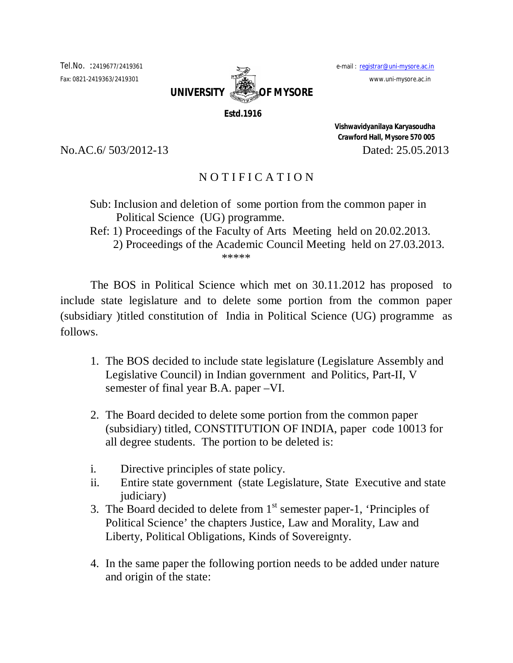

 **Estd.1916**

 **Vishwavidyanilaya Karyasoudha Crawford Hall, Mysore 570 005** No.AC.6/ 503/2012-13 Dated: 25.05.2013

## N O T I F I C A T I O N

- Sub: Inclusion and deletion of some portion from the common paper in Political Science (UG) programme.
- Ref: 1) Proceedings of the Faculty of Arts Meeting held on 20.02.2013.

 2) Proceedings of the Academic Council Meeting held on 27.03.2013. \*\*\*\*\*

The BOS in Political Science which met on 30.11.2012 has proposed to include state legislature and to delete some portion from the common paper (subsidiary )titled constitution of India in Political Science (UG) programme as follows.

- 1. The BOS decided to include state legislature (Legislature Assembly and Legislative Council) in Indian government and Politics, Part-II, V semester of final year B.A. paper –VI.
- 2. The Board decided to delete some portion from the common paper (subsidiary) titled, CONSTITUTION OF INDIA, paper code 10013 for all degree students. The portion to be deleted is:
- i. Directive principles of state policy.
- ii. Entire state government (state Legislature, State Executive and state judiciary)
- 3. The Board decided to delete from  $1<sup>st</sup>$  semester paper-1, 'Principles of Political Science' the chapters Justice, Law and Morality, Law and Liberty, Political Obligations, Kinds of Sovereignty.
- 4. In the same paper the following portion needs to be added under nature and origin of the state: